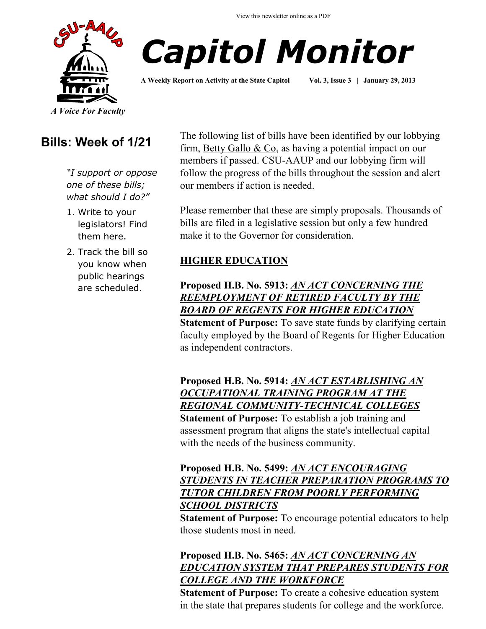



**A Weekly Report on Activity at the State Capitol Vol. 3, Issue 3 | January 29, 2013**

# **Bills: Week of 1/21**

*"I support or oppose one of these bills; what should I do?"*

- 1. Write to your legislators! Find them [here.](http://www.cga.ct.gov/asp/menu/CGAFindLeg.asp)
- 2. [Track](http://www.cga.ct.gov/aspx/CGAPublicBillTrack/Register.aspx) the bill so you know when public hearings are scheduled.

The following list of bills have been identified by our lobbying firm, [Betty Gallo & Co,](http://www.bettygallo.com/) as having a potential impact on our members if passed. CSU-AAUP and our lobbying firm will follow the progress of the bills throughout the session and alert our members if action is needed.

Please remember that these are simply proposals. Thousands of bills are filed in a legislative session but only a few hundred make it to the Governor for consideration.

#### **HIGHER EDUCATION**

#### **Proposed H.B. No. 5913:** *[AN ACT CONCERNING THE](http://www.cga.ct.gov/asp/cgabillstatus/cgabillstatus.asp?selBillType=Bill&bill_num=HB05913&which_year=2013)  [REEMPLOYMENT OF RETIRED FACULTY BY THE](http://www.cga.ct.gov/asp/cgabillstatus/cgabillstatus.asp?selBillType=Bill&bill_num=HB05913&which_year=2013)  [BOARD OF REGENTS FOR HIGHER EDUCATION](http://www.cga.ct.gov/asp/cgabillstatus/cgabillstatus.asp?selBillType=Bill&bill_num=HB05913&which_year=2013)*

**Statement of Purpose:** To save state funds by clarifying certain faculty employed by the Board of Regents for Higher Education as independent contractors.

# **Proposed H.B. No. 5914:** *[AN ACT ESTABLISHING AN](http://www.cga.ct.gov/asp/cgabillstatus/cgabillstatus.asp?selBillType=Bill&bill_num=HB05914&which_year=2013)  [OCCUPATIONAL TRAINING PROGRAM AT THE](http://www.cga.ct.gov/asp/cgabillstatus/cgabillstatus.asp?selBillType=Bill&bill_num=HB05914&which_year=2013)  [REGIONAL COMMUNITY-TECHNICAL COLLEGES](http://www.cga.ct.gov/asp/cgabillstatus/cgabillstatus.asp?selBillType=Bill&bill_num=HB05914&which_year=2013)*

**Statement of Purpose:** To establish a job training and assessment program that aligns the state's intellectual capital with the needs of the business community.

#### **Proposed H.B. No. 5499:** *[AN ACT ENCOURAGING](http://www.cga.ct.gov/asp/cgabillstatus/cgabillstatus.asp?selBillType=Bill&bill_num=HB05499&which_year=2013)  [STUDENTS IN TEACHER PREPARATION PROGRAMS TO](http://www.cga.ct.gov/asp/cgabillstatus/cgabillstatus.asp?selBillType=Bill&bill_num=HB05499&which_year=2013)  [TUTOR CHILDREN FROM POORLY PERFORMING](http://www.cga.ct.gov/asp/cgabillstatus/cgabillstatus.asp?selBillType=Bill&bill_num=HB05499&which_year=2013)  [SCHOOL DISTRICTS](http://www.cga.ct.gov/asp/cgabillstatus/cgabillstatus.asp?selBillType=Bill&bill_num=HB05499&which_year=2013)*

**Statement of Purpose:** To encourage potential educators to help those students most in need.

#### **Proposed H.B. No. 5465:** *[AN ACT CONCERNING AN](http://www.cga.ct.gov/asp/cgabillstatus/cgabillstatus.asp?selBillType=Bill&bill_num=HB05465&which_year=2013)  [EDUCATION SYSTEM THAT PREPARES STUDENTS FOR](http://www.cga.ct.gov/asp/cgabillstatus/cgabillstatus.asp?selBillType=Bill&bill_num=HB05465&which_year=2013)  [COLLEGE AND THE WORKFORCE](http://www.cga.ct.gov/asp/cgabillstatus/cgabillstatus.asp?selBillType=Bill&bill_num=HB05465&which_year=2013)*

**Statement of Purpose:** To create a cohesive education system in the state that prepares students for college and the workforce.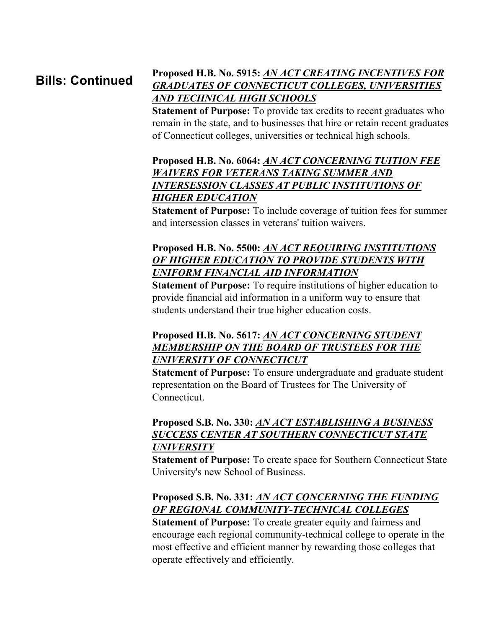# **Bills: Continued**

#### **Proposed H.B. No. 5915:** *[AN ACT CREATING INCENTIVES FOR](http://www.cga.ct.gov/asp/cgabillstatus/cgabillstatus.asp?selBillType=Bill&bill_num=HB05915&which_year=2013)  [GRADUATES OF CONNECTICUT COLLEGES, UNIVERSITIES](http://www.cga.ct.gov/asp/cgabillstatus/cgabillstatus.asp?selBillType=Bill&bill_num=HB05915&which_year=2013)  [AND TECHNICAL HIGH SCHOOLS](http://www.cga.ct.gov/asp/cgabillstatus/cgabillstatus.asp?selBillType=Bill&bill_num=HB05915&which_year=2013)*

**Statement of Purpose:** To provide tax credits to recent graduates who remain in the state, and to businesses that hire or retain recent graduates of Connecticut colleges, universities or technical high schools.

#### **Proposed H.B. No. 6064:** *[AN ACT CONCERNING TUITION FEE](http://www.cga.ct.gov/asp/cgabillstatus/cgabillstatus.asp?selBillType=Bill&bill_num=HB06064&which_year=2013)  [WAIVERS FOR VETERANS TAKING SUMMER AND](http://www.cga.ct.gov/asp/cgabillstatus/cgabillstatus.asp?selBillType=Bill&bill_num=HB06064&which_year=2013)  [INTERSESSION CLASSES AT PUBLIC INSTITUTIONS OF](http://www.cga.ct.gov/asp/cgabillstatus/cgabillstatus.asp?selBillType=Bill&bill_num=HB06064&which_year=2013)  [HIGHER EDUCATION](http://www.cga.ct.gov/asp/cgabillstatus/cgabillstatus.asp?selBillType=Bill&bill_num=HB06064&which_year=2013)*

**Statement of Purpose:** To include coverage of tuition fees for summer and intersession classes in veterans' tuition waivers.

#### **Proposed H.B. No. 5500:** *[AN ACT REQUIRING INSTITUTIONS](http://www.cga.ct.gov/asp/cgabillstatus/cgabillstatus.asp?selBillType=Bill&bill_num=HB05500&which_year=2013)  [OF HIGHER EDUCATION TO PROVIDE STUDENTS WITH](http://www.cga.ct.gov/asp/cgabillstatus/cgabillstatus.asp?selBillType=Bill&bill_num=HB05500&which_year=2013)  [UNIFORM FINANCIAL AID INFORMATION](http://www.cga.ct.gov/asp/cgabillstatus/cgabillstatus.asp?selBillType=Bill&bill_num=HB05500&which_year=2013)*

**Statement of Purpose:** To require institutions of higher education to provide financial aid information in a uniform way to ensure that students understand their true higher education costs.

#### **Proposed H.B. No. 5617:** *[AN ACT CONCERNING STUDENT](http://www.cga.ct.gov/asp/cgabillstatus/cgabillstatus.asp?selBillType=Bill&bill_num=HB05617&which_year=2013)  [MEMBERSHIP ON THE BOARD OF TRUSTEES FOR THE](http://www.cga.ct.gov/asp/cgabillstatus/cgabillstatus.asp?selBillType=Bill&bill_num=HB05617&which_year=2013)  [UNIVERSITY OF CONNECTICUT](http://www.cga.ct.gov/asp/cgabillstatus/cgabillstatus.asp?selBillType=Bill&bill_num=HB05617&which_year=2013)*

**Statement of Purpose:** To ensure undergraduate and graduate student representation on the Board of Trustees for The University of Connecticut.

#### **Proposed S.B. No. 330:** *[AN ACT ESTABLISHING A BUSINESS](http://www.cga.ct.gov/asp/cgabillstatus/cgabillstatus.asp?selBillType=Bill&bill_num=SB00330&which_year=2013)  [SUCCESS CENTER AT SOUTHERN CONNECTICUT STATE](http://www.cga.ct.gov/asp/cgabillstatus/cgabillstatus.asp?selBillType=Bill&bill_num=SB00330&which_year=2013)  [UNIVERSITY](http://www.cga.ct.gov/asp/cgabillstatus/cgabillstatus.asp?selBillType=Bill&bill_num=SB00330&which_year=2013)*

**Statement of Purpose:** To create space for Southern Connecticut State University's new School of Business.

#### **Proposed S.B. No. 331:** *[AN ACT CONCERNING THE FUNDING](http://www.cga.ct.gov/asp/cgabillstatus/cgabillstatus.asp?selBillType=Bill&bill_num=SB00331&which_year=2013)  [OF REGIONAL COMMUNITY-TECHNICAL COLLEGES](http://www.cga.ct.gov/asp/cgabillstatus/cgabillstatus.asp?selBillType=Bill&bill_num=SB00331&which_year=2013)*

**Statement of Purpose:** To create greater equity and fairness and encourage each regional community-technical college to operate in the most effective and efficient manner by rewarding those colleges that operate effectively and efficiently.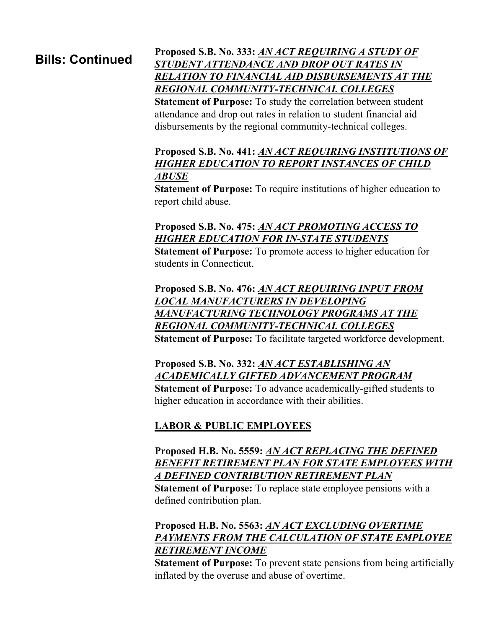# **Bills: Continued**

#### **Proposed S.B. No. 333:** *[AN ACT REQUIRING A STUDY OF](http://www.cga.ct.gov/asp/cgabillstatus/cgabillstatus.asp?selBillType=Bill&bill_num=SB00333&which_year=2013)  [STUDENT ATTENDANCE AND DROP OUT RATES IN](http://www.cga.ct.gov/asp/cgabillstatus/cgabillstatus.asp?selBillType=Bill&bill_num=SB00333&which_year=2013)  [RELATION TO FINANCIAL AID DISBURSEMENTS AT THE](http://www.cga.ct.gov/asp/cgabillstatus/cgabillstatus.asp?selBillType=Bill&bill_num=SB00333&which_year=2013)  [REGIONAL COMMUNITY-TECHNICAL COLLEGES](http://www.cga.ct.gov/asp/cgabillstatus/cgabillstatus.asp?selBillType=Bill&bill_num=SB00333&which_year=2013)*

**Statement of Purpose:** To study the correlation between student attendance and drop out rates in relation to student financial aid disbursements by the regional community-technical colleges.

#### **Proposed S.B. No. 441:** *[AN ACT REQUIRING INSTITUTIONS OF](http://www.cga.ct.gov/asp/cgabillstatus/cgabillstatus.asp?selBillType=Bill&bill_num=SB00441&which_year=2013)  [HIGHER EDUCATION TO REPORT INSTANCES OF CHILD](http://www.cga.ct.gov/asp/cgabillstatus/cgabillstatus.asp?selBillType=Bill&bill_num=SB00441&which_year=2013)  [ABUSE](http://www.cga.ct.gov/asp/cgabillstatus/cgabillstatus.asp?selBillType=Bill&bill_num=SB00441&which_year=2013)*

**Statement of Purpose:** To require institutions of higher education to report child abuse.

#### **Proposed S.B. No. 475:** *[AN ACT PROMOTING ACCESS TO](http://www.cga.ct.gov/asp/cgabillstatus/cgabillstatus.asp?selBillType=Bill&bill_num=SB00475&which_year=2013)  [HIGHER EDUCATION FOR IN-STATE STUDENTS](http://www.cga.ct.gov/asp/cgabillstatus/cgabillstatus.asp?selBillType=Bill&bill_num=SB00475&which_year=2013)*

**Statement of Purpose:** To promote access to higher education for students in Connecticut.

#### **Proposed S.B. No. 476:** *[AN ACT REQUIRING INPUT FROM](http://www.cga.ct.gov/asp/cgabillstatus/cgabillstatus.asp?selBillType=Bill&bill_num=SB00476&which_year=2013)  [LOCAL MANUFACTURERS IN DEVELOPING](http://www.cga.ct.gov/asp/cgabillstatus/cgabillstatus.asp?selBillType=Bill&bill_num=SB00476&which_year=2013)  [MANUFACTURING TECHNOLOGY PROGRAMS AT THE](http://www.cga.ct.gov/asp/cgabillstatus/cgabillstatus.asp?selBillType=Bill&bill_num=SB00476&which_year=2013)  [REGIONAL COMMUNITY-TECHNICAL COLLEGES](http://www.cga.ct.gov/asp/cgabillstatus/cgabillstatus.asp?selBillType=Bill&bill_num=SB00476&which_year=2013)*

**Statement of Purpose:** To facilitate targeted workforce development.

#### **Proposed S.B. No. 332:** *[AN ACT ESTABLISHING AN](http://www.cga.ct.gov/asp/cgabillstatus/cgabillstatus.asp?selBillType=Bill&bill_num=SB00332&which_year=2013)  [ACADEMICALLY GIFTED ADVANCEMENT PROGRAM](http://www.cga.ct.gov/asp/cgabillstatus/cgabillstatus.asp?selBillType=Bill&bill_num=SB00332&which_year=2013)*

**Statement of Purpose:** To advance academically-gifted students to higher education in accordance with their abilities.

### **LABOR & PUBLIC EMPLOYEES**

#### **Proposed H.B. No. 5559:** *[AN ACT REPLACING THE DEFINED](http://www.cga.ct.gov/asp/cgabillstatus/cgabillstatus.asp?selBillType=Bill&bill_num=HB05559&which_year=2013)  [BENEFIT RETIREMENT PLAN FOR STATE EMPLOYEES WITH](http://www.cga.ct.gov/asp/cgabillstatus/cgabillstatus.asp?selBillType=Bill&bill_num=HB05559&which_year=2013)  [A DEFINED CONTRIBUTION RETIREMENT PLAN](http://www.cga.ct.gov/asp/cgabillstatus/cgabillstatus.asp?selBillType=Bill&bill_num=HB05559&which_year=2013)*

**Statement of Purpose:** To replace state employee pensions with a defined contribution plan.

#### **Proposed H.B. No. 5563:** *[AN ACT EXCLUDING OVERTIME](http://www.cga.ct.gov/asp/cgabillstatus/cgabillstatus.asp?selBillType=Bill&bill_num=HB05563&which_year=2013)  [PAYMENTS FROM THE CALCULATION OF STATE EMPLOYEE](http://www.cga.ct.gov/asp/cgabillstatus/cgabillstatus.asp?selBillType=Bill&bill_num=HB05563&which_year=2013)  [RETIREMENT INCOME](http://www.cga.ct.gov/asp/cgabillstatus/cgabillstatus.asp?selBillType=Bill&bill_num=HB05563&which_year=2013)*

**Statement of Purpose:** To prevent state pensions from being artificially inflated by the overuse and abuse of overtime.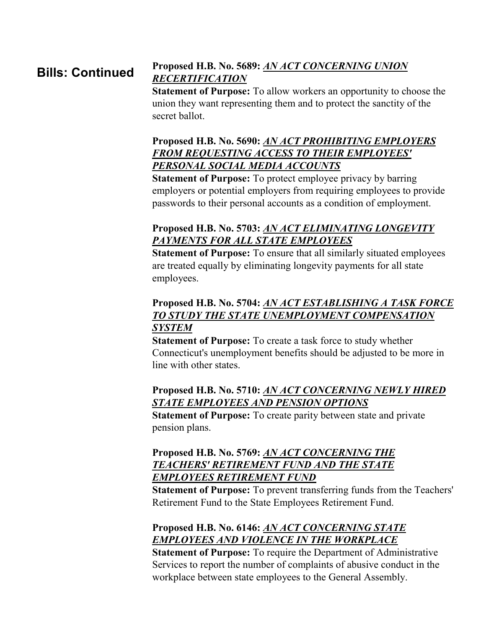#### **Proposed H.B. No. 5689:** *[AN ACT CONCERNING UNION](http://www.cga.ct.gov/asp/cgabillstatus/cgabillstatus.asp?selBillType=Bill&bill_num=HB05689&which_year=2013)  [RECERTIFICATION](http://www.cga.ct.gov/asp/cgabillstatus/cgabillstatus.asp?selBillType=Bill&bill_num=HB05689&which_year=2013)* **Bills: Continued**

**Statement of Purpose:** To allow workers an opportunity to choose the union they want representing them and to protect the sanctity of the secret ballot.

#### **Proposed H.B. No. 5690:** *[AN ACT PROHIBITING EMPLOYERS](http://www.cga.ct.gov/asp/cgabillstatus/cgabillstatus.asp?selBillType=Bill&bill_num=HB05690&which_year=2013)  [FROM REQUESTING ACCESS TO THEIR EMPLOYEES'](http://www.cga.ct.gov/asp/cgabillstatus/cgabillstatus.asp?selBillType=Bill&bill_num=HB05690&which_year=2013)  [PERSONAL SOCIAL MEDIA ACCOUNTS](http://www.cga.ct.gov/asp/cgabillstatus/cgabillstatus.asp?selBillType=Bill&bill_num=HB05690&which_year=2013)*

**Statement of Purpose:** To protect employee privacy by barring employers or potential employers from requiring employees to provide passwords to their personal accounts as a condition of employment.

#### **Proposed H.B. No. 5703:** *[AN ACT ELIMINATING LONGEVITY](http://www.cga.ct.gov/asp/cgabillstatus/cgabillstatus.asp?selBillType=Bill&bill_num=HB05703&which_year=2013)  [PAYMENTS FOR ALL STATE EMPLOYEES](http://www.cga.ct.gov/asp/cgabillstatus/cgabillstatus.asp?selBillType=Bill&bill_num=HB05703&which_year=2013)*

**Statement of Purpose:** To ensure that all similarly situated employees are treated equally by eliminating longevity payments for all state employees.

#### **Proposed H.B. No. 5704:** *[AN ACT ESTABLISHING A TASK FORCE](http://www.cga.ct.gov/asp/cgabillstatus/cgabillstatus.asp?selBillType=Bill&bill_num=HB05704&which_year=2013)  [TO STUDY THE STATE UNEMPLOYMENT COMPENSATION](http://www.cga.ct.gov/asp/cgabillstatus/cgabillstatus.asp?selBillType=Bill&bill_num=HB05704&which_year=2013)  [SYSTEM](http://www.cga.ct.gov/asp/cgabillstatus/cgabillstatus.asp?selBillType=Bill&bill_num=HB05704&which_year=2013)*

**Statement of Purpose:** To create a task force to study whether Connecticut's unemployment benefits should be adjusted to be more in line with other states.

#### **Proposed H.B. No. 5710:** *[AN ACT CONCERNING NEWLY HIRED](http://www.cga.ct.gov/asp/cgabillstatus/cgabillstatus.asp?selBillType=Bill&bill_num=HB05710&which_year=2013)  [STATE EMPLOYEES AND PENSION OPTIONS](http://www.cga.ct.gov/asp/cgabillstatus/cgabillstatus.asp?selBillType=Bill&bill_num=HB05710&which_year=2013)*

**Statement of Purpose:** To create parity between state and private pension plans.

#### **Proposed H.B. No. 5769:** *[AN ACT CONCERNING THE](http://www.cga.ct.gov/asp/cgabillstatus/cgabillstatus.asp?selBillType=Bill&bill_num=HB05769&which_year=2013)  [TEACHERS' RETIREMENT FUND AND THE STATE](http://www.cga.ct.gov/asp/cgabillstatus/cgabillstatus.asp?selBillType=Bill&bill_num=HB05769&which_year=2013)  [EMPLOYEES RETIREMENT FUND](http://www.cga.ct.gov/asp/cgabillstatus/cgabillstatus.asp?selBillType=Bill&bill_num=HB05769&which_year=2013)*

**Statement of Purpose:** To prevent transferring funds from the Teachers' Retirement Fund to the State Employees Retirement Fund.

## **Proposed H.B. No. 6146:** *[AN ACT CONCERNING STATE](http://www.cga.ct.gov/asp/cgabillstatus/cgabillstatus.asp?selBillType=Bill&bill_num=HB06146&which_year=2013)  [EMPLOYEES AND VIOLENCE IN THE WORKPLACE](http://www.cga.ct.gov/asp/cgabillstatus/cgabillstatus.asp?selBillType=Bill&bill_num=HB06146&which_year=2013)*

**Statement of Purpose:** To require the Department of Administrative Services to report the number of complaints of abusive conduct in the workplace between state employees to the General Assembly.